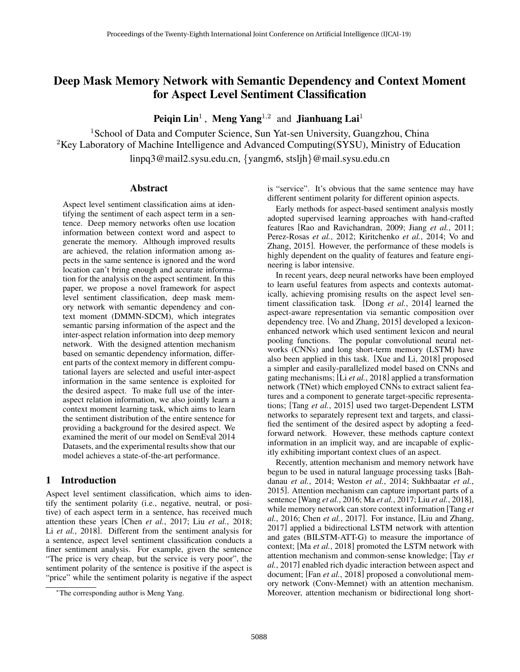# Deep Mask Memory Network with Semantic Dependency and Context Moment for Aspect Level Sentiment Classification

Peiqin Lin<sup>1</sup>, Meng Yang<sup>1,2</sup> and Jianhuang Lai<sup>1</sup>

<sup>1</sup> School of Data and Computer Science, Sun Yat-sen University, Guangzhou, China  ${}^{2}$ Key Laboratory of Machine Intelligence and Advanced Computing(SYSU), Ministry of Education linpq3@mail2.sysu.edu.cn, {yangm6, stsljh}@mail.sysu.edu.cn

### Abstract

Aspect level sentiment classification aims at identifying the sentiment of each aspect term in a sentence. Deep memory networks often use location information between context word and aspect to generate the memory. Although improved results are achieved, the relation information among aspects in the same sentence is ignored and the word location can't bring enough and accurate information for the analysis on the aspect sentiment. In this paper, we propose a novel framework for aspect level sentiment classification, deep mask memory network with semantic dependency and context moment (DMMN-SDCM), which integrates semantic parsing information of the aspect and the inter-aspect relation information into deep memory network. With the designed attention mechanism based on semantic dependency information, different parts of the context memory in different computational layers are selected and useful inter-aspect information in the same sentence is exploited for the desired aspect. To make full use of the interaspect relation information, we also jointly learn a context moment learning task, which aims to learn the sentiment distribution of the entire sentence for providing a background for the desired aspect. We examined the merit of our model on SemEval 2014 Datasets, and the experimental results show that our model achieves a state-of-the-art performance.

# 1 Introduction

Aspect level sentiment classification, which aims to identify the sentiment polarity (i.e., negative, neutral, or positive) of each aspect term in a sentence, has received much attention these years [Chen *et al.*, 2017; Liu *et al.*, 2018; Li *et al.*, 2018]. Different from the sentiment analysis for a sentence, aspect level sentiment classification conducts a finer sentiment analysis. For example, given the sentence "The price is very cheap, but the service is very poor", the sentiment polarity of the sentence is positive if the aspect is "price" while the sentiment polarity is negative if the aspect is "service". It's obvious that the same sentence may have different sentiment polarity for different opinion aspects.

Early methods for aspect-based sentiment analysis mostly adopted supervised learning approaches with hand-crafted features [Rao and Ravichandran, 2009; Jiang *et al.*, 2011; Perez-Rosas *et al.*, 2012; Kiritchenko *et al.*, 2014; Vo and Zhang, 2015]. However, the performance of these models is highly dependent on the quality of features and feature engineering is labor intensive.

In recent years, deep neural networks have been employed to learn useful features from aspects and contexts automatically, achieving promising results on the aspect level sentiment classification task. [Dong *et al.*, 2014] learned the aspect-aware representation via semantic composition over dependency tree. [Vo and Zhang, 2015] developed a lexiconenhanced network which used sentiment lexicon and neural pooling functions. The popular convolutional neural networks (CNNs) and long short-term memory (LSTM) have also been applied in this task. [Xue and Li, 2018] proposed a simpler and easily-parallelized model based on CNNs and gating mechanisms; [Li *et al.*, 2018] applied a transformation network (TNet) which employed CNNs to extract salient features and a component to generate target-specific representations; [Tang *et al.*, 2015] used two target-Dependent LSTM networks to separately represent text and targets, and classified the sentiment of the desired aspect by adopting a feedforward network. However, these methods capture context information in an implicit way, and are incapable of explicitly exhibiting important context clues of an aspect.

Recently, attention mechanism and memory network have begun to be used in natural language processing tasks [Bahdanau *et al.*, 2014; Weston *et al.*, 2014; Sukhbaatar *et al.*, 2015]. Attention mechanism can capture important parts of a sentence [Wang *et al.*, 2016; Ma *et al.*, 2017; Liu *et al.*, 2018], while memory network can store context information [Tang *et al.*, 2016; Chen *et al.*, 2017]. For instance, [Liu and Zhang, 2017] applied a bidirectional LSTM network with attention and gates (BILSTM-ATT-G) to measure the importance of context; [Ma *et al.*, 2018] promoted the LSTM network with attention mechanism and common-sense knowledge; [Tay *et al.*, 2017] enabled rich dyadic interaction between aspect and document; [Fan *et al.*, 2018] proposed a convolutional memory network (Conv-Memnet) with an attention mechanism. Moreover, attention mechanism or bidirectional long short-

<sup>∗</sup>The corresponding author is Meng Yang.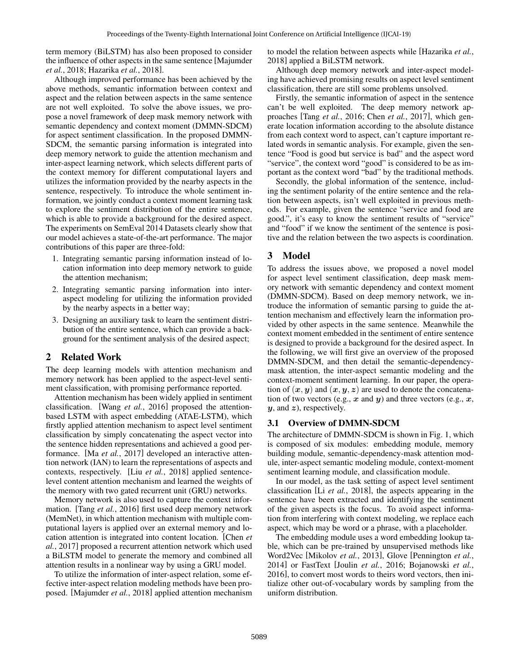term memory (BiLSTM) has also been proposed to consider the influence of other aspects in the same sentence [Majumder *et al.*, 2018; Hazarika *et al.*, 2018].

Although improved performance has been achieved by the above methods, semantic information between context and aspect and the relation between aspects in the same sentence are not well exploited. To solve the above issues, we propose a novel framework of deep mask memory network with semantic dependency and context moment (DMMN-SDCM) for aspect sentiment classification. In the proposed DMMN-SDCM, the semantic parsing information is integrated into deep memory network to guide the attention mechanism and inter-aspect learning network, which selects different parts of the context memory for different computational layers and utilizes the information provided by the nearby aspects in the sentence, respectively. To introduce the whole sentiment information, we jointly conduct a context moment learning task to explore the sentiment distribution of the entire sentence, which is able to provide a background for the desired aspect. The experiments on SemEval 2014 Datasets clearly show that our model achieves a state-of-the-art performance. The major contributions of this paper are three-fold:

- 1. Integrating semantic parsing information instead of location information into deep memory network to guide the attention mechanism;
- 2. Integrating semantic parsing information into interaspect modeling for utilizing the information provided by the nearby aspects in a better way;
- 3. Designing an auxiliary task to learn the sentiment distribution of the entire sentence, which can provide a background for the sentiment analysis of the desired aspect;

# 2 Related Work

The deep learning models with attention mechanism and memory network has been applied to the aspect-level sentiment classification, with promising performance reported.

Attention mechanism has been widely applied in sentiment classification. [Wang *et al.*, 2016] proposed the attentionbased LSTM with aspect embedding (ATAE-LSTM), which firstly applied attention mechanism to aspect level sentiment classification by simply concatenating the aspect vector into the sentence hidden representations and achieved a good performance. [Ma *et al.*, 2017] developed an interactive attention network (IAN) to learn the representations of aspects and contexts, respectively. [Liu *et al.*, 2018] applied sentencelevel content attention mechanism and learned the weights of the memory with two gated recurrent unit (GRU) networks.

Memory network is also used to capture the context information. [Tang *et al.*, 2016] first used deep memory network (MemNet), in which attention mechanism with multiple computational layers is applied over an external memory and location attention is integrated into content location. [Chen *et al.*, 2017] proposed a recurrent attention network which used a BiLSTM model to generate the memory and combined all attention results in a nonlinear way by using a GRU model.

To utilize the information of inter-aspect relation, some effective inter-aspect relation modeling methods have been proposed. [Majumder *et al.*, 2018] applied attention mechanism to model the relation between aspects while [Hazarika *et al.*, 2018] applied a BiLSTM network.

Although deep memory network and inter-aspect modeling have achieved promising results on aspect level sentiment classification, there are still some problems unsolved.

Firstly, the semantic information of aspect in the sentence can't be well exploited. The deep memory network approaches [Tang *et al.*, 2016; Chen *et al.*, 2017], which generate location information according to the absolute distance from each context word to aspect, can't capture important related words in semantic analysis. For example, given the sentence "Food is good but service is bad" and the aspect word "service", the context word "good" is considered to be as important as the context word "bad" by the traditional methods.

Secondly, the global information of the sentence, including the sentiment polarity of the entire sentence and the relation between aspects, isn't well exploited in previous methods. For example, given the sentence "service and food are good.", it's easy to know the sentiment results of "service" and "food" if we know the sentiment of the sentence is positive and the relation between the two aspects is coordination.

# 3 Model

To address the issues above, we proposed a novel model for aspect level sentiment classification, deep mask memory network with semantic dependency and context moment (DMMN-SDCM). Based on deep memory network, we introduce the information of semantic parsing to guide the attention mechanism and effectively learn the information provided by other aspects in the same sentence. Meanwhile the context moment embedded in the sentiment of entire sentence is designed to provide a background for the desired aspect. In the following, we will first give an overview of the proposed DMMN-SDCM, and then detail the semantic-dependencymask attention, the inter-aspect semantic modeling and the context-moment sentiment learning. In our paper, the operation of  $(x, y)$  and  $(x, y, z)$  are used to denote the concatenation of two vectors (e.g., x and y) and three vectors (e.g., x,  $y$ , and  $z$ ), respectively.

### 3.1 Overview of DMMN-SDCM

The architecture of DMMN-SDCM is shown in Fig. 1, which is composed of six modules: embedding module, memory building module, semantic-dependency-mask attention module, inter-aspect semantic modeling module, context-moment sentiment learning module, and classification module.

In our model, as the task setting of aspect level sentiment classification [Li *et al.*, 2018], the aspects appearing in the sentence have been extracted and identifying the sentiment of the given aspects is the focus. To avoid aspect information from interfering with context modeling, we replace each aspect, which may be word or a phrase, with a placeholder.

The embedding module uses a word embedding lookup table, which can be pre-trained by unsupervised methods like Word2Vec [Mikolov *et al.*, 2013], Glove [Pennington *et al.*, 2014] or FastText [Joulin *et al.*, 2016; Bojanowski *et al.*, 2016], to convert most words to theirs word vectors, then initialize other out-of-vocabulary words by sampling from the uniform distribution.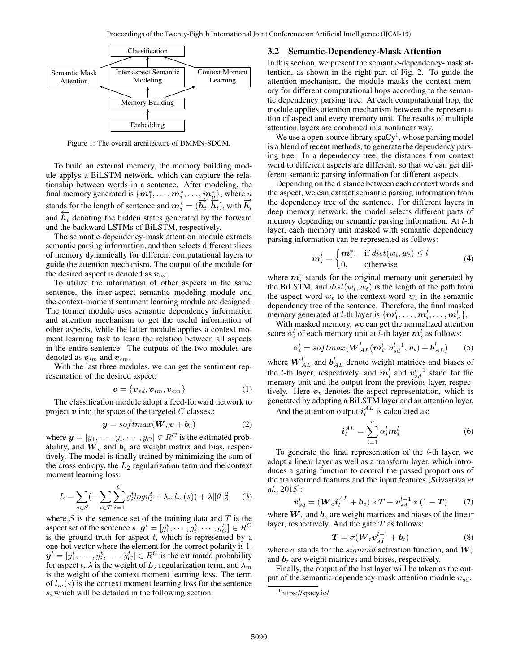

Figure 1: The overall architecture of DMMN-SDCM.

To build an external memory, the memory building module applys a BiLSTM network, which can capture the relationship between words in a sentence. After modeling, the final memory generated is  $\{m^*_1, \ldots, m^*_i, \ldots, m^*_n\}$ , where  $n$ stands for the length of sentence and  $m_i^* = (\vec{h}_i, \vec{h}_i)$ , with  $\vec{h}_i$ and  $\overline{h_i}$  denoting the hidden states generated by the forward and the backward LSTMs of BiLSTM, respectively.

The semantic-dependency-mask attention module extracts semantic parsing information, and then selects different slices of memory dynamically for different computational layers to guide the attention mechanism. The output of the module for the desired aspect is denoted as  $v_{sd}$ .

To utilize the information of other aspects in the same sentence, the inter-aspect semantic modeling module and the context-moment sentiment learning module are designed. The former module uses semantic dependency information and attention mechanism to get the useful information of other aspects, while the latter module applies a context moment learning task to learn the relation between all aspects in the entire sentence. The outputs of the two modules are denoted as  $v_{im}$  and  $v_{cm}$ .

With the last three modules, we can get the sentiment representation of the desired aspect:

$$
\boldsymbol{v} = \{\boldsymbol{v}_{sd}, \boldsymbol{v}_{im}, \boldsymbol{v}_{cm}\} \tag{1}
$$

The classification module adopt a feed-forward network to project  $v$  into the space of the targeted  $C$  classes.:

$$
y = softmax(W_c v + b_c)
$$
 (2)

where  $\mathbf{y} = [y_1, \dots, y_i, \dots, y_C] \in R^C$  is the estimated probability, and  $\mathbf{W}_c$  and  $\mathbf{b}_c$  are weight matrix and bias, respectively. The model is finally trained by minimizing the sum of the cross entropy, the  $L_2$  regularization term and the context moment learning loss:

$$
L = \sum_{s \in S} \left(-\sum_{t \in T} \sum_{i=1}^{C} g_i^t log y_i^t + \lambda_m l_m(s)\right) + \lambda \|\theta\|_2^2 \tag{3}
$$

where  $S$  is the sentence set of the training data and  $T$  is the aspect set of the sentence  $s.$   $\boldsymbol{g}^t = [g_1^t, \cdots, g_i^t, \cdots, g_C^t] \in R^C$ is the ground truth for aspect  $t$ , which is represented by a one-hot vector where the element for the correct polarity is 1.  $\boldsymbol{y}^{t} = [y_{1}^{t}, \cdots, y_{i}^{t}, \cdots, y_{C}^{t}] \in R^{C}$  is the estimated probability for aspect t.  $\lambda$  is the weight of  $L_2$  regularization term, and  $\lambda_m$ is the weight of the context moment learning loss. The term of  $l_m(s)$  is the context moment learning loss for the sentence s, which will be detailed in the following section.

### 3.2 Semantic-Dependency-Mask Attention

In this section, we present the semantic-dependency-mask attention, as shown in the right part of Fig. 2. To guide the attention mechanism, the module masks the context memory for different computational hops according to the semantic dependency parsing tree. At each computational hop, the module applies attention mechanism between the representation of aspect and every memory unit. The results of multiple attention layers are combined in a nonlinear way.

We use a open-source library spaCy<sup>1</sup>, whose parsing model is a blend of recent methods, to generate the dependency parsing tree. In a dependency tree, the distances from context word to different aspects are different, so that we can get different semantic parsing information for different aspects.

Depending on the distance between each context words and the aspect, we can extract semantic parsing information from the dependency tree of the sentence. For different layers in deep memory network, the model selects different parts of memory depending on semantic parsing information. At l-th layer, each memory unit masked with semantic dependency parsing information can be represented as follows:

$$
\boldsymbol{m}_i^l = \begin{cases} \boldsymbol{m}_i^*, & \text{if } dist(w_i, w_t) \le l \\ 0, & \text{otherwise} \end{cases} \tag{4}
$$

where  $m_i^*$  stands for the original memory unit generated by the BiLSTM, and  $dist(w_i, w_t)$  is the length of the path from the aspect word  $w_t$  to the context word  $w_i$  in the semantic dependency tree of the sentence. Therefore, the final masked memory generated at *l*-th layer is  $\{m_1^l, \ldots, m_i^l, \ldots, m_n^l\}$ .

With masked memory, we can get the normalized attention score  $\alpha_i^l$  of each memory unit at *l*-th layer  $\boldsymbol{m}_i^l$  as follows:

$$
\alpha_i^l = softmax(\boldsymbol{W}_{AL}^l(\boldsymbol{m}_i^l, \boldsymbol{v}_{sd}^{l-1}, \boldsymbol{v}_t) + \boldsymbol{b}_{AL}^l)
$$
 (5)

where  $W_{AL}^l$  and  $b_{AL}^l$  denote weight matrices and biases of the *l*-th layer, respectively, and  $m_i^l$  and  $v_{sd}^{l-1}$  stand for the memory unit and the output from the previous layer, respectively. Here  $v_t$  denotes the aspect representation, which is generated by adopting a BiLSTM layer and an attention layer.

And the attention output  $i_l^{AL}$  is calculated as:

$$
\boldsymbol{i}_l^{AL} = \sum_{i=1}^n \alpha_i^l \boldsymbol{m}_i^l \tag{6}
$$

To generate the final representation of the  $l$ -th layer, we adopt a linear layer as well as a transform layer, which introduces a gating function to control the passed proportions of the transformed features and the input features [Srivastava *et al.*, 2015]:

$$
\mathbf{v}_{sd}^l = (\mathbf{W}_o \mathbf{i}_l^{AL} + \mathbf{b}_o) * \mathbf{T} + \mathbf{v}_{sd}^{l-1} * (1 - \mathbf{T}) \tag{7}
$$

where  $W_0$  and  $b_0$  are weight matrices and biases of the linear layer, respectively. And the gate  $T$  as follows:

$$
T = \sigma(W_t v_{sd}^{l-1} + b_t)
$$
 (8)

where  $\sigma$  stands for the *sigmoid* activation function, and  $W_t$ and  $b_t$  are weight matrices and biases, respectively.

Finally, the output of the last layer will be taken as the output of the semantic-dependency-mask attention module  $v_{sd}$ .

<sup>1</sup> https://spacy.io/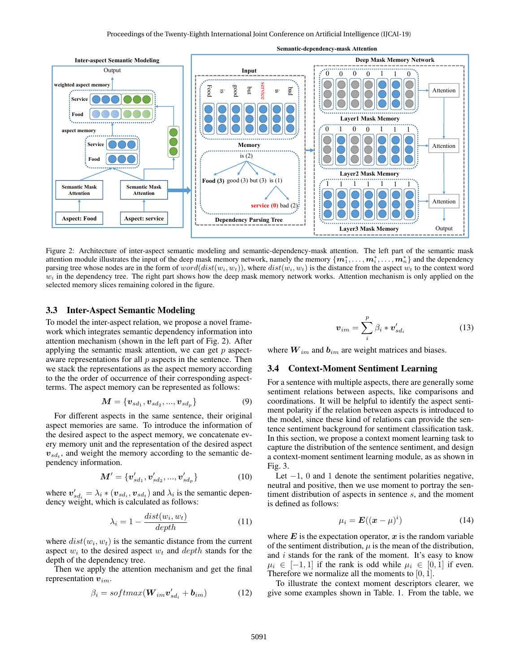

Figure 2: Architecture of inter-aspect semantic modeling and semantic-dependency-mask attention. The left part of the semantic mask attention module illustrates the input of the deep mask memory network, namely the memory  $\{m_1^*,\ldots,m_i^*,\ldots,m_n^*\}$  and the dependency parsing tree whose nodes are in the form of  $word(dist(w_i, w_t))$ , where  $dist(w_i, w_t)$  is the distance from the aspect  $w_t$  to the context word  $w_i$  in the dependency tree. The right part shows how the deep mask memory network works. Attention mechanism is only applied on the selected memory slices remaining colored in the figure.

### 3.3 Inter-Aspect Semantic Modeling

To model the inter-aspect relation, we propose a novel framework which integrates semantic dependency information into attention mechanism (shown in the left part of Fig. 2). After applying the semantic mask attention, we can get  $p$  aspectaware representations for all  $p$  aspects in the sentence. Then we stack the representations as the aspect memory according to the the order of occurrence of their corresponding aspectterms. The aspect memory can be represented as follows:

$$
M = \{v_{sd_1}, v_{sd_2}, ..., v_{sd_p}\}\tag{9}
$$

For different aspects in the same sentence, their original aspect memories are same. To introduce the information of the desired aspect to the aspect memory, we concatenate every memory unit and the representation of the desired aspect  $\mathbf{v}_{sd_t}$ , and weight the memory according to the semantic dependency information.

$$
\mathbf{M}' = \{ \mathbf{v}'_{sd_1}, \mathbf{v}'_{sd_2}, ..., \mathbf{v}'_{sd_p} \}
$$
(10)

where  $v'_{sd_i} = \lambda_i * (v_{sd_i}, v_{sd_t})$  and  $\lambda_i$  is the semantic dependency weight, which is calculated as follows:

$$
\lambda_i = 1 - \frac{dist(w_i, w_t)}{depth} \tag{11}
$$

where  $dist(w_i, w_t)$  is the semantic distance from the current aspect  $w_i$  to the desired aspect  $w_t$  and  $depth$  stands for the depth of the dependency tree.

Then we apply the attention mechanism and get the final representation  $v_{im}$ .

$$
\beta_i = softmax(\boldsymbol{W}_{im} \boldsymbol{v}'_{sd_i} + \boldsymbol{b}_{im})
$$
 (12)

$$
\boldsymbol{v}_{im} = \sum_{i}^{p} \beta_i * \boldsymbol{v}'_{sd_i}
$$
 (13)

where  $W_{im}$  and  $b_{im}$  are weight matrices and biases.

# 3.4 Context-Moment Sentiment Learning

For a sentence with multiple aspects, there are generally some sentiment relations between aspects, like comparisons and coordinations. It will be helpful to identify the aspect sentiment polarity if the relation between aspects is introduced to the model, since these kind of relations can provide the sentence sentiment background for sentiment classification task. In this section, we propose a context moment learning task to capture the distribution of the sentence sentiment, and design a context-moment sentiment learning module, as as shown in Fig. 3.

Let  $-1$ , 0 and 1 denote the sentiment polarities negative, neutral and positive, then we use moment to portray the sentiment distribution of aspects in sentence s, and the moment is defined as follows:

$$
\mu_i = \boldsymbol{E}((\boldsymbol{x} - \mu)^i) \tag{14}
$$

where  $E$  is the expectation operator,  $x$  is the random variable of the sentiment distribution,  $\mu$  is the mean of the distribution, and  $i$  stands for the rank of the moment. It's easy to know  $\mu_i \in [-1, 1]$  if the rank is odd while  $\mu_i \in [0, 1]$  if even. Therefore we normalize all the moments to  $[0, 1]$ .

To illustrate the context moment descriptors clearer, we give some examples shown in Table. 1. From the table, we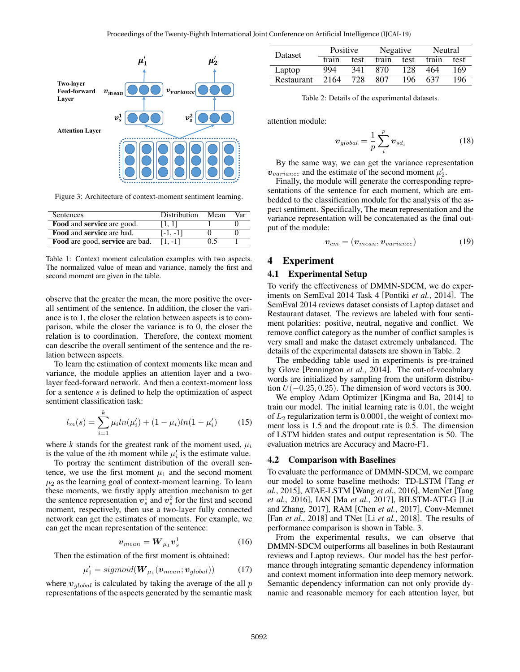

Figure 3: Architecture of context-moment sentiment learning.

| <b>Sentences</b>                 | Distribution | Mean | Var |
|----------------------------------|--------------|------|-----|
| Food and service are good.       | f1. 11       |      |     |
| <b>Food and service are bad.</b> | $[-1, -1]$   |      |     |
| Food are good, service are bad.  | [1. -11      |      |     |

Table 1: Context moment calculation examples with two aspects. The normalized value of mean and variance, namely the first and second moment are given in the table.

observe that the greater the mean, the more positive the overall sentiment of the sentence. In addition, the closer the variance is to 1, the closer the relation between aspects is to comparison, while the closer the variance is to 0, the closer the relation is to coordination. Therefore, the context moment can describe the overall sentiment of the sentence and the relation between aspects.

To learn the estimation of context moments like mean and variance, the module applies an attention layer and a twolayer feed-forward network. And then a context-moment loss for a sentence  $s$  is defined to help the optimization of aspect sentiment classification task:

$$
l_m(s) = \sum_{i=1}^{k} \mu_i ln(\mu'_i) + (1 - \mu_i)ln(1 - \mu'_i)
$$
 (15)

where k stands for the greatest rank of the moment used,  $\mu_i$ is the value of the *i*th moment while  $\mu'_i$  is the estimate value.

To portray the sentiment distribution of the overall sentence, we use the first moment  $\mu_1$  and the second moment  $\mu_2$  as the learning goal of context-moment learning. To learn these moments, we firstly apply attention mechanism to get the sentence representation  $v_s^{\dagger}$  and  $v_s^{\dagger}$  for the first and second moment, respectively, then use a two-layer fully connected network can get the estimates of moments. For example, we can get the mean representation of the sentence:

$$
\boldsymbol{v}_{mean} = \boldsymbol{W}_{\mu_1} \boldsymbol{v}_s^1 \tag{16}
$$

Then the estimation of the first moment is obtained:

$$
\mu'_1 = sigmoid(\boldsymbol{W}_{\mu_1}(\boldsymbol{v}_{mean}; \boldsymbol{v}_{global}))
$$
 (17)

where  $v_{global}$  is calculated by taking the average of the all  $p$ representations of the aspects generated by the semantic mask

|  |         | Dataset    | <b>Positive</b> |      | Negative |      | Neutral |      |
|--|---------|------------|-----------------|------|----------|------|---------|------|
|  | $\mu_2$ |            | train           | test | train    | test | train   | test |
|  |         | Laptop     | 994             | 341  | 870      | 128  | 464     | 169  |
|  |         | Restaurant | 2164            | 728  | 807      |      | 196 637 | 196  |

Table 2: Details of the experimental datasets.

$$
\boldsymbol{v}_{global} = \frac{1}{p} \sum_{i}^{p} \boldsymbol{v}_{sd_i} \tag{18}
$$

By the same way, we can get the variance representation  $v_{variance}$  and the estimate of the second moment  $\mu'_2$ .

Finally, the module will generate the corresponding representations of the sentence for each moment, which are embedded to the classification module for the analysis of the aspect sentiment. Specifically, The mean representation and the variance representation will be concatenated as the final output of the module:

$$
\boldsymbol{v}_{cm} = (\boldsymbol{v}_{mean}, \boldsymbol{v}_{variance}) \tag{19}
$$

# 4 Experiment

### 4.1 Experimental Setup

To verify the effectiveness of DMMN-SDCM, we do experiments on SemEval 2014 Task 4 [Pontiki *et al.*, 2014]. The SemEval 2014 reviews dataset consists of Laptop dataset and Restaurant dataset. The reviews are labeled with four sentiment polarities: positive, neutral, negative and conflict. We remove conflict category as the number of conflict samples is very small and make the dataset extremely unbalanced. The details of the experimental datasets are shown in Table. 2

The embedding table used in experiments is pre-trained by Glove [Pennington *et al.*, 2014]. The out-of-vocabulary words are initialized by sampling from the uniform distribution  $U(-0.25, 0.25)$ . The dimension of word vectors is 300.

We employ Adam Optimizer [Kingma and Ba, 2014] to train our model. The initial learning rate is 0.01, the weight of  $L_2$  regularization term is 0.0001, the weight of context moment loss is 1.5 and the dropout rate is 0.5. The dimension of LSTM hidden states and output representation is 50. The evaluation metrics are Accuracy and Macro-F1.

#### 4.2 Comparison with Baselines

To evaluate the performance of DMMN-SDCM, we compare our model to some baseline methods: TD-LSTM [Tang *et al.*, 2015], ATAE-LSTM [Wang *et al.*, 2016], MemNet [Tang *et al.*, 2016], IAN [Ma *et al.*, 2017], BILSTM-ATT-G [Liu and Zhang, 2017], RAM [Chen *et al.*, 2017], Conv-Memnet [Fan *et al.*, 2018] and TNet [Li *et al.*, 2018]. The results of performance comparison is shown in Table. 3.

From the experimental results, we can observe that DMMN-SDCM outperforms all baselines in both Restaurant reviews and Laptop reviews. Our model has the best performance through integrating semantic dependency information and context moment information into deep memory network. Semantic dependency information can not only provide dynamic and reasonable memory for each attention layer, but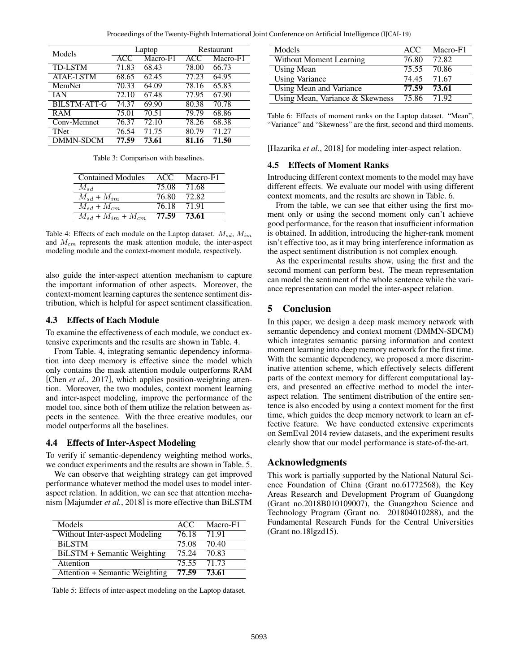Proceedings of the Twenty-Eighth International Joint Conference on Artificial Intelligence (IJCAI-19)

| Models              | Laptop |                                | Restaurant |          |  |
|---------------------|--------|--------------------------------|------------|----------|--|
|                     | ACC    | $\overline{\text{Macc}}$ ro-F1 | ACC        | Macro-F1 |  |
| <b>TD-LSTM</b>      | 71.83  | 68.43                          | 78.00      | 66.73    |  |
| <b>ATAE-LSTM</b>    | 68.65  | 62.45                          | 77.23      | 64.95    |  |
| MemNet              | 70.33  | 64.09                          | 78.16      | 65.83    |  |
| <b>IAN</b>          | 72.10  | 67.48                          | 77.95      | 67.90    |  |
| <b>BILSTM-ATT-G</b> | 74.37  | 69.90                          | 80.38      | 70.78    |  |
| <b>RAM</b>          | 75.01  | 70.51                          | 79.79      | 68.86    |  |
| Conv-Memnet         | 76.37  | 72.10                          | 78.26      | 68.38    |  |
| TNet                | 76.54  | 71.75                          | 80.79      | 71.27    |  |
| DMMN-SDCM           | 77.59  | 73.61                          | 81.16      | 71.50    |  |

Table 3: Comparison with baselines.

| <b>Contained Modules</b>   | ACC.        | Macro-F1 |
|----------------------------|-------------|----------|
| $M_{sd}$                   | 75.08       | 71.68    |
| $M_{sd}$ + $M_{im}$        | 76.80       | 72.82    |
| $M_{sd}$ + $M_{cm}$        | 76.18       | 71.91    |
| $M_{sd} + M_{im} + M_{cm}$ | 77.59 73.61 |          |

Table 4: Effects of each module on the Laptop dataset.  $M_{sd}$ ,  $M_{im}$ and  $M_{cm}$  represents the mask attention module, the inter-aspect modeling module and the context-moment module, respectively.

also guide the inter-aspect attention mechanism to capture the important information of other aspects. Moreover, the context-moment learning captures the sentence sentiment distribution, which is helpful for aspect sentiment classification.

### 4.3 Effects of Each Module

To examine the effectiveness of each module, we conduct extensive experiments and the results are shown in Table. 4.

From Table. 4, integrating semantic dependency information into deep memory is effective since the model which only contains the mask attention module outperforms RAM [Chen *et al.*, 2017], which applies position-weighting attention. Moreover, the two modules, context moment learning and inter-aspect modeling, improve the performance of the model too, since both of them utilize the relation between aspects in the sentence. With the three creative modules, our model outperforms all the baselines.

### 4.4 Effects of Inter-Aspect Modeling

To verify if semantic-dependency weighting method works, we conduct experiments and the results are shown in Table. 5.

We can observe that weighting strategy can get improved performance whatever method the model uses to model interaspect relation. In addition, we can see that attention mechanism [Majumder *et al.*, 2018] is more effective than BiLSTM

| Models                         | ACC.  | Macro-F1 |
|--------------------------------|-------|----------|
| Without Inter-aspect Modeling  | 76.18 | 71.91    |
| <b>BiLSTM</b>                  | 75.08 | 70.40    |
| BiLSTM + Semantic Weighting    | 75.24 | 70.83    |
| Attention                      | 75.55 | 71.73    |
| Attention + Semantic Weighting | 77.59 | 73.61    |

Table 5: Effects of inter-aspect modeling on the Laptop dataset.

| Models                          | ACC.        | Macro-F1    |
|---------------------------------|-------------|-------------|
| <b>Without Moment Learning</b>  | 76.80       | 72.82       |
| Using Mean                      |             | 75.55 70.86 |
| <b>Using Variance</b>           | 74.45 71.67 |             |
| Using Mean and Variance         | 77.59       | 73.61       |
| Using Mean, Variance & Skewness | 75.86 71.92 |             |

Table 6: Effects of moment ranks on the Laptop dataset. "Mean", "Variance" and "Skewness" are the first, second and third moments.

[Hazarika *et al.*, 2018] for modeling inter-aspect relation.

### 4.5 Effects of Moment Ranks

Introducing different context moments to the model may have different effects. We evaluate our model with using different context moments, and the results are shown in Table. 6.

From the table, we can see that either using the first moment only or using the second moment only can't achieve good performance, for the reason that insufficient information is obtained. In addition, introducing the higher-rank moment isn't effective too, as it may bring interference information as the aspect sentiment distribution is not complex enough.

As the experimental results show, using the first and the second moment can perform best. The mean representation can model the sentiment of the whole sentence while the variance representation can model the inter-aspect relation.

### 5 Conclusion

In this paper, we design a deep mask memory network with semantic dependency and context moment (DMMN-SDCM) which integrates semantic parsing information and context moment learning into deep memory network for the first time. With the semantic dependency, we proposed a more discriminative attention scheme, which effectively selects different parts of the context memory for different computational layers, and presented an effective method to model the interaspect relation. The sentiment distribution of the entire sentence is also encoded by using a context moment for the first time, which guides the deep memory network to learn an effective feature. We have conducted extensive experiments on SemEval 2014 review datasets, and the experiment results clearly show that our model performance is state-of-the-art.

### Acknowledgments

This work is partially supported by the National Natural Science Foundation of China (Grant no.61772568), the Key Areas Research and Development Program of Guangdong (Grant no.2018B010109007), the Guangzhou Science and Technology Program (Grant no. 201804010288), and the Fundamental Research Funds for the Central Universities (Grant no.18lgzd15).